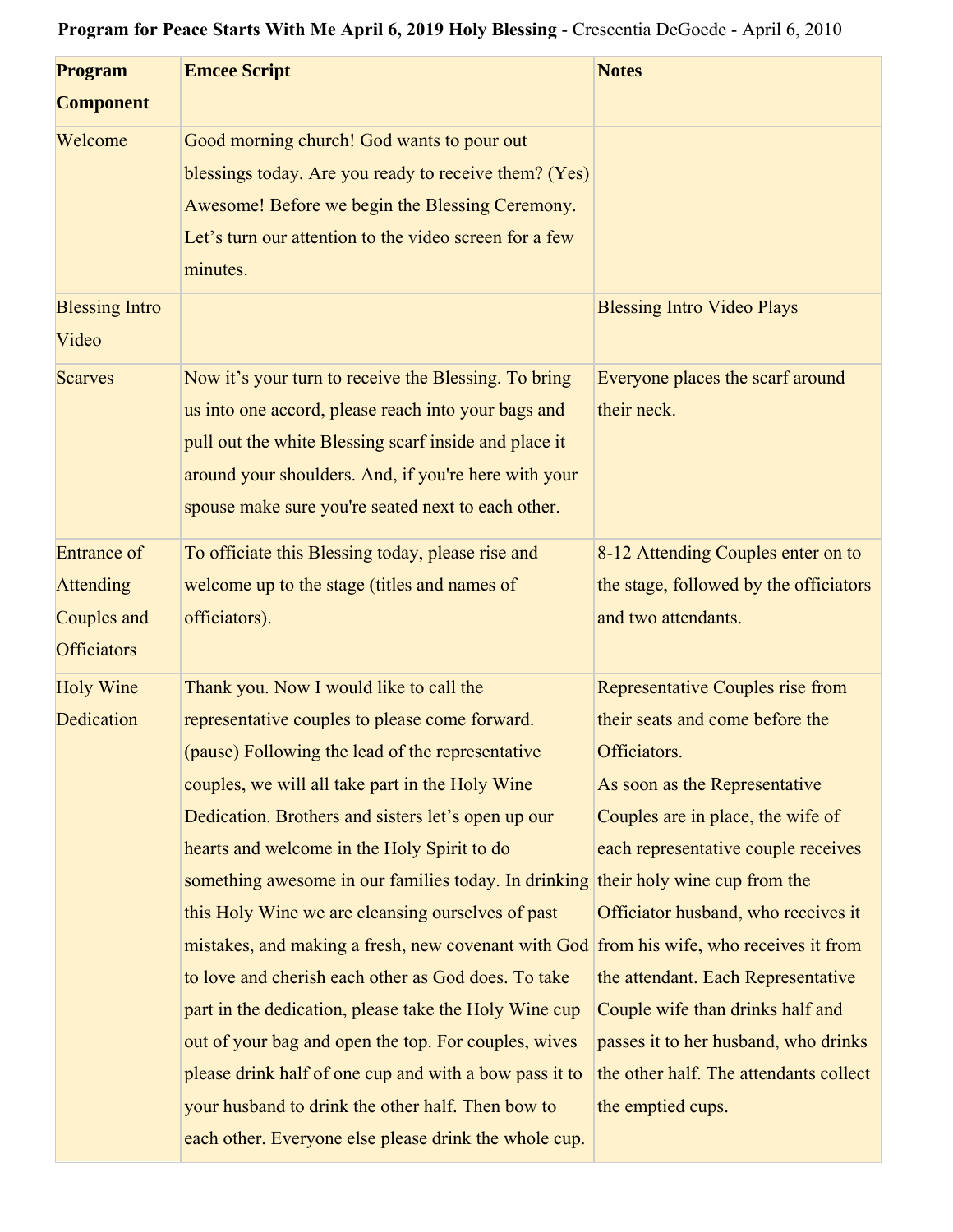## **Program for Peace Starts With Me April 6, 2019 Holy Blessing** - Crescentia DeGoede - April 6, 2010

| <b>Program</b>                                        | <b>Emcee Script</b>                                                                                                                                                                                                                                                                | <b>Notes</b>                                                  |
|-------------------------------------------------------|------------------------------------------------------------------------------------------------------------------------------------------------------------------------------------------------------------------------------------------------------------------------------------|---------------------------------------------------------------|
| <b>Component</b>                                      |                                                                                                                                                                                                                                                                                    |                                                               |
| Welcome                                               | Good morning church! God wants to pour out<br>blessings today. Are you ready to receive them? (Yes)<br>Awesome! Before we begin the Blessing Ceremony.<br>Let's turn our attention to the video screen for a few<br>minutes.                                                       |                                                               |
| <b>Blessing Intro</b><br>Video                        |                                                                                                                                                                                                                                                                                    | <b>Blessing Intro Video Plays</b>                             |
| <b>Scarves</b>                                        | Now it's your turn to receive the Blessing. To bring<br>us into one accord, please reach into your bags and<br>pull out the white Blessing scarf inside and place it<br>around your shoulders. And, if you're here with your<br>spouse make sure you're seated next to each other. | Everyone places the scarf around<br>their neck.               |
| <b>Entrance of</b>                                    | To officiate this Blessing today, please rise and                                                                                                                                                                                                                                  | 8-12 Attending Couples enter on to                            |
| <b>Attending</b><br>Couples and<br><b>Officiators</b> | welcome up to the stage (titles and names of<br>officiators).                                                                                                                                                                                                                      | the stage, followed by the officiators<br>and two attendants. |
| <b>Holy Wine</b>                                      | Thank you. Now I would like to call the                                                                                                                                                                                                                                            | Representative Couples rise from                              |
| Dedication                                            | representative couples to please come forward.<br>(pause) Following the lead of the representative                                                                                                                                                                                 | their seats and come before the<br>Officiators.               |
|                                                       | couples, we will all take part in the Holy Wine                                                                                                                                                                                                                                    | As soon as the Representative                                 |
|                                                       | Dedication. Brothers and sisters let's open up our                                                                                                                                                                                                                                 | Couples are in place, the wife of                             |
|                                                       | hearts and welcome in the Holy Spirit to do                                                                                                                                                                                                                                        | each representative couple receives                           |
|                                                       | something awesome in our families today. In drinking their holy wine cup from the                                                                                                                                                                                                  |                                                               |
|                                                       | this Holy Wine we are cleansing ourselves of past                                                                                                                                                                                                                                  | Officiator husband, who receives it                           |
|                                                       | mistakes, and making a fresh, new covenant with God from his wife, who receives it from                                                                                                                                                                                            |                                                               |
|                                                       | to love and cherish each other as God does. To take                                                                                                                                                                                                                                | the attendant. Each Representative                            |
|                                                       | part in the dedication, please take the Holy Wine cup                                                                                                                                                                                                                              | Couple wife than drinks half and                              |
|                                                       | out of your bag and open the top. For couples, wives                                                                                                                                                                                                                               | passes it to her husband, who drinks                          |
|                                                       | please drink half of one cup and with a bow pass it to                                                                                                                                                                                                                             | the other half. The attendants collect                        |
|                                                       | your husband to drink the other half. Then bow to                                                                                                                                                                                                                                  | the emptied cups.                                             |
|                                                       | each other. Everyone else please drink the whole cup.                                                                                                                                                                                                                              |                                                               |